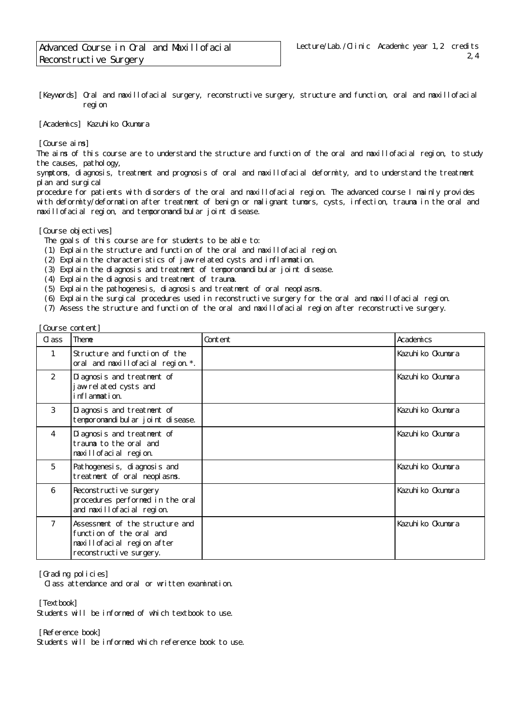[Keywords] Oral and maxillofacial surgery, reconstructive surgery, structure and function, oral and maxillofacial region

[Academics] Kazuhiko Okumura

[Course aims]

The aims of this course are to understand the structure and function of the oral and maxillofacial region, to study the causes, pathology,

symptoms, diagnosis, treatment and prognosis of oral and maxillofacial deformity, and to understand the treatment pl an and surgical

procedure for patients with disorders of the oral and maxillofacial region. The advanced course I mainly provides with deformity/deformation after treatment of benign or malignant tumors, cysts, infection, trauma in the oral and maxillofacial region, and temporomandibular joint disease.

[Course objectives]

The goals of this course are for students to be able to:

- (1) Explain the structure and function of the oral and maxillofacial region.
- (2) Explain the characteristics of jaw-related cysts and inflammation.
- (3) Explain the diagnosis and treatment of temporomandibular joint disease.
- (4) Explain the diagnosis and treatment of trauma.
- (5) Explain the pathogenesis, diagnosis and treatment of oral neoplasms.
- (6) Explain the surgical procedures used in reconstructive surgery for the oral and maxillofacial region.

(7) Assess the structure and function of the oral and maxillofacial region after reconstructive surgery.

[Course content]

| C ass          | Theme                                                                                                                | Content | Academics         |
|----------------|----------------------------------------------------------------------------------------------------------------------|---------|-------------------|
| $\mathbf{1}$   | Structure and function of the<br>oral and maxillofacial region. *.                                                   |         | Kazuhi ko Okumura |
| 2              | Di agnosis and treatment of<br>jawrelated cysts and<br>inflammation.                                                 |         | Kazuhi ko Okumura |
| 3              | Di agnosis and treatment of<br>temporomandi bul ar joint di sease.                                                   |         | Kazuhi ko Okumura |
| $\overline{4}$ | Di agnosis and treatment of<br>trauma to the oral and<br>maxillofacial region.                                       |         | Kazuhi ko Okumura |
| 5              | Pathogenesis, di agnosis and<br>treatment of oral neoplasms.                                                         |         | Kazuhi ko Okumura |
| 6              | Reconstructive surgery<br>procedures performed in the oral<br>and maxill of aci al region.                           |         | Kazuhi ko Okumura |
| $\overline{7}$ | Assessment of the structure and<br>function of the oral and<br>maxillofacial region after<br>reconstructive surgery. |         | Kazuhi ko Okumura |

[Grading policies]

Class attendance and oral or written examination.

[Textbook]

Students will be informed of which textbook to use.

[Reference book]

Students will be informed which reference book to use.